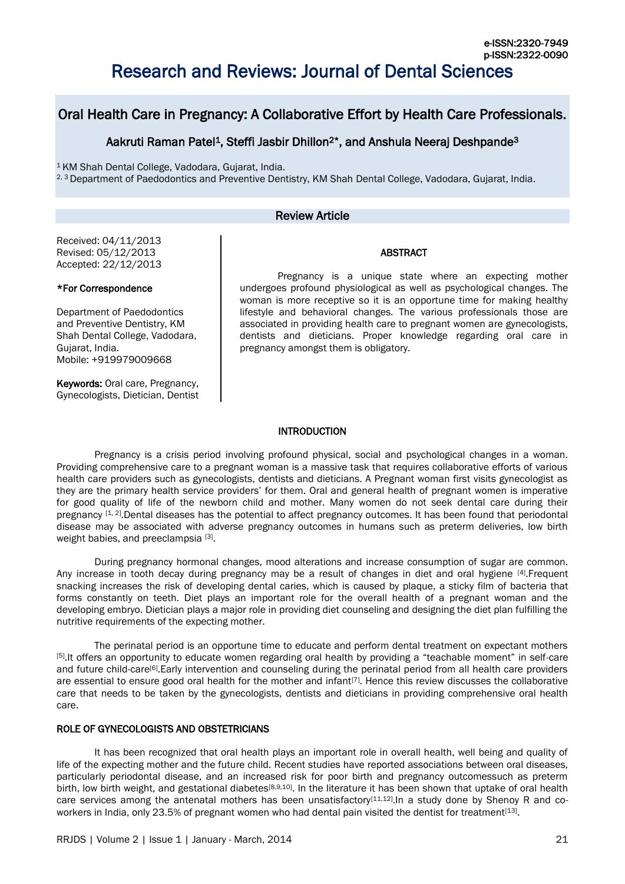# Research and Reviews: Journal of Dental Sciences

## Oral Health Care in Pregnancy: A Collaborative Effort by Health Care Professionals.

## Aakruti Raman Patel<sup>1</sup>, Steffi Jasbir Dhillon<sup>2\*</sup>, and Anshula Neeraj Deshpande<sup>3</sup>

<sup>1</sup>KM Shah Dental College, Vadodara, Gujarat, India. <sup>2, 3</sup> Department of Paedodontics and Preventive Dentistry, KM Shah Dental College, Vadodara, Gujarat, India.

## Review Article

#### Received: 04/11/2013 Revised: 05/12/2013 Accepted: 22/12/2013

## \*For Correspondence

Department of Paedodontics and Preventive Dentistry, KM Shah Dental College, Vadodara, Gujarat, India. Mobile: +919979009668

Keywords: Oral care, Pregnancy, Gynecologists, Dietician, Dentist

Pregnancy is a unique state where an expecting mother undergoes profound physiological as well as psychological changes. The woman is more receptive so it is an opportune time for making healthy lifestyle and behavioral changes. The various professionals those are associated in providing health care to pregnant women are gynecologists, dentists and dieticians. Proper knowledge regarding oral care in pregnancy amongst them is obligatory.

ABSTRACT

#### INTRODUCTION

 Pregnancy is a crisis period involving profound physical, social and psychological changes in a woman. Providing comprehensive care to a pregnant woman is a massive task that requires collaborative efforts of various health care providers such as gynecologists, dentists and dieticians. A Pregnant woman first visits gynecologist as they are the primary health service providers' for them. Oral and general health of pregnant women is imperative for good quality of life of the newborn child and mother. Many women do not seek dental care during their pregnancy [1, 2]. Dental diseases has the potential to affect pregnancy outcomes. It has been found that periodontal disease may be associated with adverse pregnancy outcomes in humans such as preterm deliveries, low birth weight babies, and preeclampsia [3].

 During pregnancy hormonal changes, mood alterations and increase consumption of sugar are common. Any increase in tooth decay during pregnancy may be a result of changes in diet and oral hygiene [4]. Frequent snacking increases the risk of developing dental caries, which is caused by plaque, a sticky film of bacteria that forms constantly on teeth. Diet plays an important role for the overall health of a pregnant woman and the developing embryo. Dietician plays a major role in providing diet counseling and designing the diet plan fulfilling the nutritive requirements of the expecting mother.

 The perinatal period is an opportune time to educate and perform dental treatment on expectant mothers [5] .It offers an opportunity to educate women regarding oral health by providing a "teachable moment" in self-care and future child-care<sup>[6]</sup>. Early intervention and counseling during the perinatal period from all health care providers are essential to ensure good oral health for the mother and infant<sup>[7]</sup>. Hence this review discusses the collaborative care that needs to be taken by the gynecologists, dentists and dieticians in providing comprehensive oral health care.

## ROLE OF GYNECOLOGISTS AND OBSTETRICIANS

 It has been recognized that oral health plays an important role in overall health, well being and quality of life of the expecting mother and the future child. Recent studies have reported associations between oral diseases, particularly periodontal disease, and an increased risk for poor birth and pregnancy outcomessuch as preterm birth, low birth weight, and gestational diabetes<sup>[8,9,10]</sup>. In the literature it has been shown that uptake of oral health care services among the antenatal mothers has been unsatisfactory<sup>[11,12]</sup>. In a study done by Shenoy R and coworkers in India, only 23.5% of pregnant women who had dental pain visited the dentist for treatment<sup>[13]</sup>.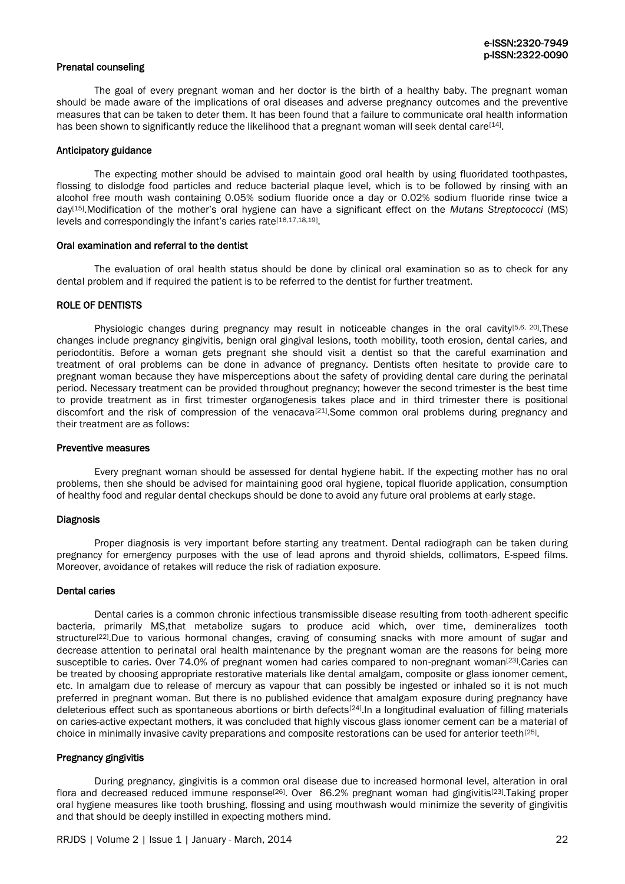#### Prenatal counseling

The goal of every pregnant woman and her doctor is the birth of a healthy baby. The pregnant woman should be made aware of the implications of oral diseases and adverse pregnancy outcomes and the preventive measures that can be taken to deter them. It has been found that a failure to communicate oral health information has been shown to significantly reduce the likelihood that a pregnant woman will seek dental care<sup>[14]</sup>.

#### Anticipatory guidance

The expecting mother should be advised to maintain good oral health by using fluoridated toothpastes, flossing to dislodge food particles and reduce bacterial plaque level, which is to be followed by rinsing with an alcohol free mouth wash containing 0.05% sodium fluoride once a day or 0.02% sodium fluoride rinse twice a day[15] .Modification of the mother's oral hygiene can have a significant effect on the *Mutans Streptococci* (MS) levels and correspondingly the infant's caries rate<sup>[16,17,18,19]</sup>.

#### Oral examination and referral to the dentist

The evaluation of oral health status should be done by clinical oral examination so as to check for any dental problem and if required the patient is to be referred to the dentist for further treatment.

## ROLE OF DENTISTS

Physiologic changes during pregnancy may result in noticeable changes in the oral cavity<sup>[5,6, 20]</sup>. These changes include pregnancy gingivitis, benign oral gingival lesions, tooth mobility, tooth erosion, dental caries, and periodontitis. Before a woman gets pregnant she should visit a dentist so that the careful examination and treatment of oral problems can be done in advance of pregnancy. Dentists often hesitate to provide care to pregnant woman because they have misperceptions about the safety of providing dental care during the perinatal period. Necessary treatment can be provided throughout pregnancy; however the second trimester is the best time to provide treatment as in first trimester organogenesis takes place and in third trimester there is positional discomfort and the risk of compression of the venacava<sup>[21]</sup>. Some common oral problems during pregnancy and their treatment are as follows:

#### Preventive measures

Every pregnant woman should be assessed for dental hygiene habit. If the expecting mother has no oral problems, then she should be advised for maintaining good oral hygiene, topical fluoride application, consumption of healthy food and regular dental checkups should be done to avoid any future oral problems at early stage.

#### Diagnosis

Proper diagnosis is very important before starting any treatment. Dental radiograph can be taken during pregnancy for emergency purposes with the use of lead aprons and thyroid shields, collimators, E-speed films. Moreover, avoidance of retakes will reduce the risk of radiation exposure.

## Dental caries

Dental caries is a common chronic infectious transmissible disease resulting from tooth-adherent specific bacteria, primarily MS,that metabolize sugars to produce acid which, over time, demineralizes tooth structure<sup>[22]</sup>.Due to various hormonal changes, craving of consuming snacks with more amount of sugar and decrease attention to perinatal oral health maintenance by the pregnant woman are the reasons for being more susceptible to caries. Over 74.0% of pregnant women had caries compared to non-pregnant woman<sup>[23]</sup> Caries can be treated by choosing appropriate restorative materials like dental amalgam, composite or glass ionomer cement, etc. In amalgam due to release of mercury as vapour that can possibly be ingested or inhaled so it is not much preferred in pregnant woman. But there is no published evidence that amalgam exposure during pregnancy have deleterious effect such as spontaneous abortions or birth defects<sup>[24]</sup>. In a longitudinal evaluation of filling materials on caries-active expectant mothers, it was concluded that highly viscous glass ionomer cement can be a material of choice in minimally invasive cavity preparations and composite restorations can be used for anterior teeth<sup>[25]</sup>.

#### Pregnancy gingivitis

During pregnancy, gingivitis is a common oral disease due to increased hormonal level, alteration in oral flora and decreased reduced immune response<sup>[26]</sup>. Over 86.2% pregnant woman had gingivitis<sup>[23]</sup>. Taking proper oral hygiene measures like tooth brushing, flossing and using mouthwash would minimize the severity of gingivitis and that should be deeply instilled in expecting mothers mind.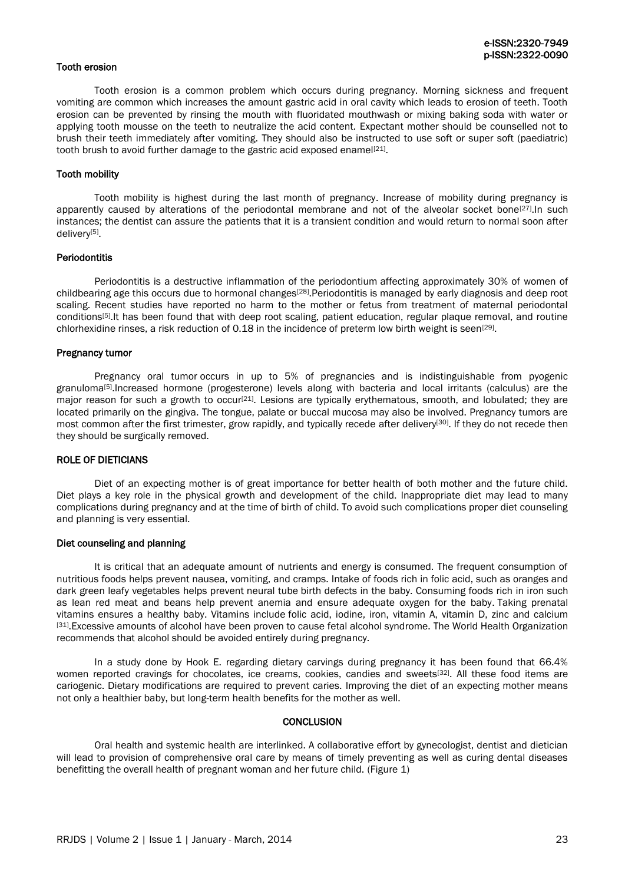## Tooth erosion

Tooth erosion is a common problem which occurs during pregnancy. Morning sickness and frequent vomiting are common which increases the amount gastric acid in oral cavity which leads to erosion of teeth. Tooth erosion can be prevented by rinsing the mouth with fluoridated mouthwash or mixing baking soda with water or applying tooth mousse on the teeth to neutralize the acid content. Expectant mother should be counselled not to brush their teeth immediately after vomiting. They should also be instructed to use soft or super soft (paediatric) tooth brush to avoid further damage to the gastric acid exposed enamel<sup>[21]</sup>.

#### Tooth mobility

Tooth mobility is highest during the last month of pregnancy. Increase of mobility during pregnancy is apparently caused by alterations of the periodontal membrane and not of the alveolar socket bone<sup>[27]</sup>. In such instances; the dentist can assure the patients that it is a transient condition and would return to normal soon after delivery[5].

#### **Periodontitis**

Periodontitis is a destructive inflammation of the periodontium affecting approximately 30% of women of childbearing age this occurs due to hormonal changes<sup>[28]</sup>. Periodontitis is managed by early diagnosis and deep root scaling. Recent studies have reported no harm to the mother or fetus from treatment of maternal periodontal conditions<sup>[5]</sup>. It has been found that with deep root scaling, patient education, regular plaque removal, and routine chlorhexidine rinses, a risk reduction of 0.18 in the incidence of preterm low birth weight is seen<sup>[29]</sup>.

#### Pregnancy tumor

Pregnancy oral tumor occurs in up to 5% of pregnancies and is indistinguishable from pyogenic granuloma<sup>[5]</sup>.Increased hormone (progesterone) levels along with bacteria and local irritants (calculus) are the major reason for such a growth to occur<sup>[21]</sup>. Lesions are typically erythematous, smooth, and lobulated; they are located primarily on the gingiva. The tongue, palate or buccal mucosa may also be involved. Pregnancy tumors are most common after the first trimester, grow rapidly, and typically recede after delivery<sup>[30]</sup>. If they do not recede then they should be surgically removed.

#### ROLE OF DIETICIANS

Diet of an expecting mother is of great importance for better health of both mother and the future child. Diet plays a key role in the physical growth and development of the child. Inappropriate diet may lead to many complications during pregnancy and at the time of birth of child. To avoid such complications proper diet counseling and planning is very essential.

#### Diet counseling and planning

It is critical that an adequate amount of nutrients and energy is consumed. The frequent consumption of nutritious foods helps prevent nausea, vomiting, and cramps. Intake of foods rich in folic acid, such as oranges and dark green leafy vegetables helps prevent neural tube birth defects in the baby. Consuming foods rich in iron such as lean red meat and beans help prevent anemia and ensure adequate oxygen for the baby. Taking prenatal vitamins ensures a healthy baby. Vitamins include folic acid, iodine, iron, vitamin A, vitamin D, zinc and calcium <sup>[31]</sup>. Excessive amounts of alcohol have been proven to cause fetal alcohol syndrome. The World Health Organization recommends that alcohol should be avoided entirely during pregnancy.

In a study done by Hook E. regarding dietary carvings during pregnancy it has been found that 66.4% women reported cravings for chocolates, ice creams, cookies, candies and sweets<sup>[32]</sup>. All these food items are cariogenic. Dietary modifications are required to prevent caries. Improving the diet of an expecting mother means not only a healthier baby, but long-term health benefits for the mother as well.

#### **CONCLUSION**

Oral health and systemic health are interlinked. A collaborative effort by gynecologist, dentist and dietician will lead to provision of comprehensive oral care by means of timely preventing as well as curing dental diseases benefitting the overall health of pregnant woman and her future child. (Figure 1)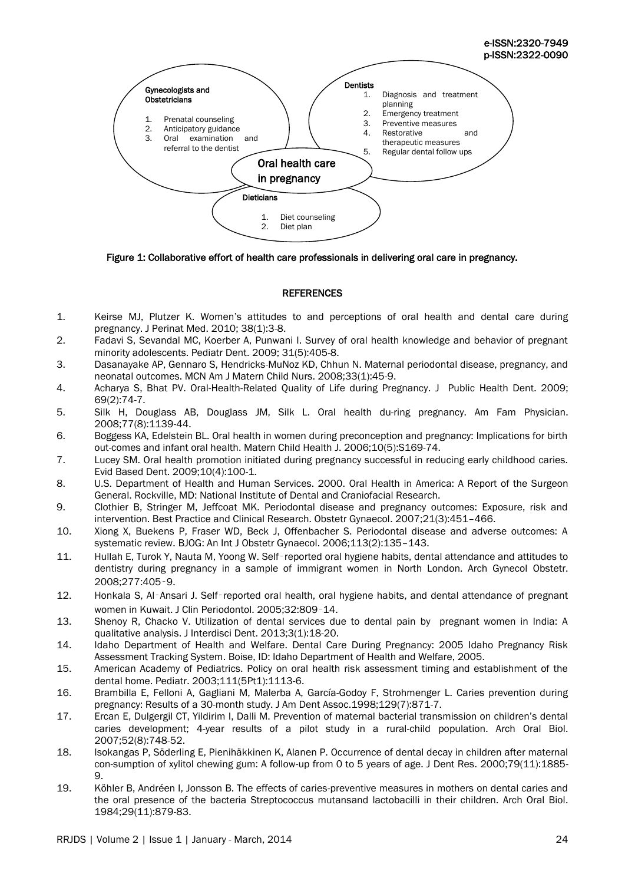

Figure 1: Collaborative effort of health care professionals in delivering oral care in pregnancy.

## **REFERENCES**

- 1. Keirse MJ, Plutzer K. Women's attitudes to and perceptions of oral health and dental care during pregnancy. J Perinat Med. 2010; 38(1):3-8.
- 2. Fadavi S, Sevandal MC, Koerber A, Punwani I. Survey of oral health knowledge and behavior of pregnant minority adolescents. Pediatr Dent. 2009; 31(5):405-8.
- 3. Dasanayake AP, Gennaro S, Hendricks-MuNoz KD, Chhun N. Maternal periodontal disease, pregnancy, and neonatal outcomes. MCN Am J Matern Child Nurs. 2008;33(1):45-9.
- 4. Acharya S, Bhat PV. Oral-Health-Related Quality of Life during Pregnancy. J Public Health Dent. 2009; 69(2):74-7.
- 5. Silk H, Douglass AB, Douglass JM, Silk L. Oral health du-ring pregnancy. Am Fam Physician. 2008;77(8):1139-44.
- 6. Boggess KA, Edelstein BL. Oral health in women during preconception and pregnancy: Implications for birth out-comes and infant oral health. Matern Child Health J. 2006;10(5):S169-74.
- 7. Lucey SM. Oral health promotion initiated during pregnancy successful in reducing early childhood caries. Evid Based Dent. 2009;10(4):100-1.
- 8. U.S. Department of Health and Human Services. 2000. Oral Health in America: A Report of the Surgeon General. Rockville, MD: National Institute of Dental and Craniofacial Research.
- 9. Clothier B, Stringer M, Jeffcoat MK. Periodontal disease and pregnancy outcomes: Exposure, risk and intervention. Best Practice and Clinical Research. Obstetr Gynaecol. 2007;21(3):451–466.
- 10. Xiong X, Buekens P, Fraser WD, Beck J, Offenbacher S. Periodontal disease and adverse outcomes: A systematic review. BJOG: An Int J Obstetr Gynaecol. 2006;113(2):135–143.
- 11. Hullah E, Turok Y, Nauta M, Yoong W. Self‑reported oral hygiene habits, dental attendance and attitudes to dentistry during pregnancy in a sample of immigrant women in North London. Arch Gynecol Obstetr. 2008;277:405‑9.
- 12. Honkala S, Al-Ansari J, Self-reported oral health, oral hygiene habits, and dental attendance of pregnant women in Kuwait. J Clin Periodontol. 2005;32:809‑14.
- 13. Shenoy R, Chacko V. Utilization of dental services due to dental pain by pregnant women in India: A qualitative analysis. J Interdisci Dent. 2013;3(1):18-20.
- 14. Idaho Department of Health and Welfare. Dental Care During Pregnancy: 2005 Idaho Pregnancy Risk Assessment Tracking System. Boise, ID: Idaho Department of Health and Welfare, 2005.
- 15. American Academy of Pediatrics. Policy on oral health risk assessment timing and establishment of the dental home. Pediatr. 2003;111(5Pt1):1113-6.
- 16. Brambilla E, Felloni A, Gagliani M, Malerba A, García-Godoy F, Strohmenger L. Caries prevention during pregnancy: Results of a 30-month study. J Am Dent Assoc.1998;129(7):871-7.
- 17. Ercan E, Dulgergil CT, Yildirim I, Dalli M. Prevention of maternal bacterial transmission on children's dental caries development; 4-year results of a pilot study in a rural-child population. Arch Oral Biol. 2007;52(8):748-52.
- 18. Isokangas P, Söderling E, Pienihäkkinen K, Alanen P. Occurrence of dental decay in children after maternal con-sumption of xylitol chewing gum: A follow-up from 0 to 5 years of age. J Dent Res. 2000;79(11):1885- 9.
- 19. Köhler B, Andréen I, Jonsson B. The effects of caries-preventive measures in mothers on dental caries and the oral presence of the bacteria Streptococcus mutansand lactobacilli in their children. Arch Oral Biol. 1984;29(11):879-83.